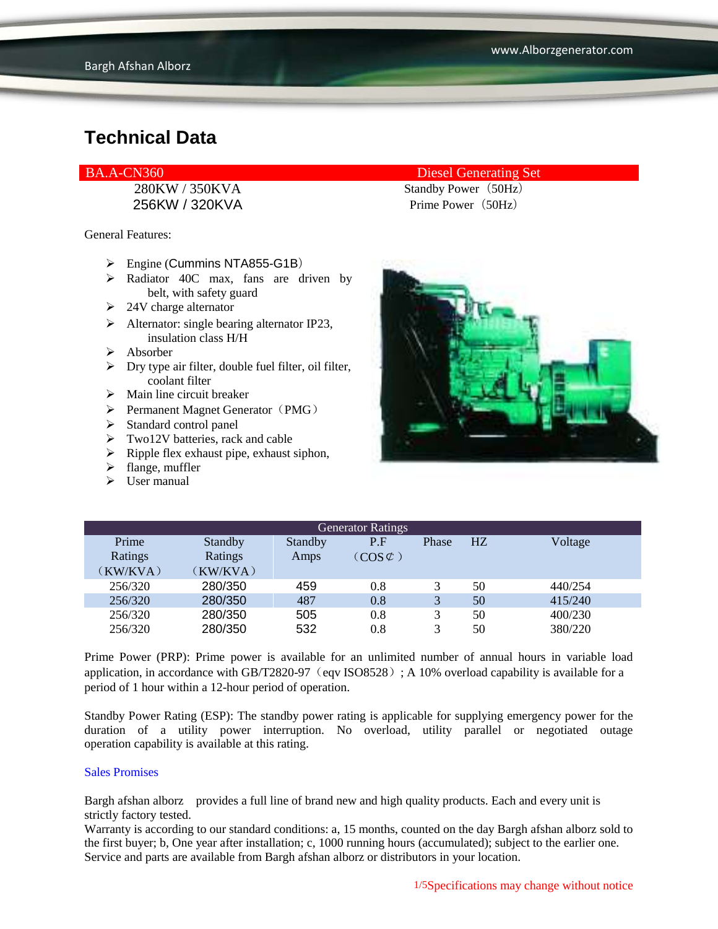256KW / 320KVA Prime Power (50Hz)

General Features:

- Engine (Cummins NTA855-G1B)
- $\triangleright$  Radiator 40C max, fans are driven by belt, with safety guard
- $\geq$  24V charge alternator
- $\triangleright$  Alternator: single bearing alternator IP23, insulation class H/H
- $\triangleright$  Absorber
- $\triangleright$  Dry type air filter, double fuel filter, oil filter, coolant filter
- $\triangleright$  Main line circuit breaker
- $\triangleright$  Permanent Magnet Generator (PMG)
- > Standard control panel
- > Two12V batteries, rack and cable
- $\triangleright$  Ripple flex exhaust pipe, exhaust siphon,
- $\triangleright$  flange, muffler
- $\triangleright$  User manual

#### BA.A-CN360 Diesel Generating Set

280KW / 350KVA Standby Power (50Hz)



| <b>Generator Ratings</b> |         |         |                     |       |    |         |
|--------------------------|---------|---------|---------------------|-------|----|---------|
| Prime                    | Standby | Standby | P.F                 | Phase | HZ | Voltage |
| Ratings                  | Ratings | Amps    | $(COS \mathcal{L})$ |       |    |         |
| (KW/KVA)                 | KW/KVA) |         |                     |       |    |         |
| 256/320                  | 280/350 | 459     | 0.8                 |       | 50 | 440/254 |
| 256/320                  | 280/350 | 487     | 0.8                 | 3     | 50 | 415/240 |
| 256/320                  | 280/350 | 505     | 0.8                 | 3     | 50 | 400/230 |
| 256/320                  | 280/350 | 532     | 0.8                 |       | 50 | 380/220 |

Prime Power (PRP): Prime power is available for an unlimited number of annual hours in variable load application, in accordance with GB/T2820-97 (eqv ISO8528); A 10% overload capability is available for a period of 1 hour within a 12-hour period of operation.

Standby Power Rating (ESP): The standby power rating is applicable for supplying emergency power for the duration of a utility power interruption. No overload, utility parallel or negotiated outage operation capability is available at this rating.

#### Sales Promises

Bargh afshan alborz provides a full line of brand new and high quality products. Each and every unit is strictly factory tested.

Warranty is according to our standard conditions: a, 15 months, counted on the day Bargh afshan alborz sold to the first buyer; b, One year after installation; c, 1000 running hours (accumulated); subject to the earlier one. Service and parts are available from Bargh afshan alborz or distributors in your location.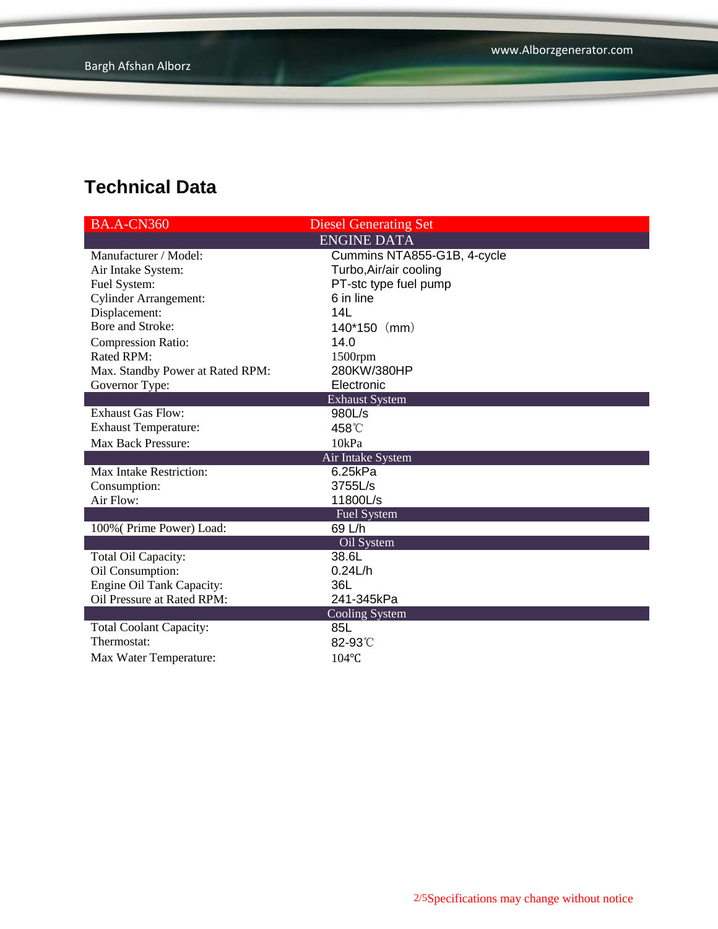| <b>BA.A-CN360</b>                | <b>Diesel Generating Set</b> |  |  |  |
|----------------------------------|------------------------------|--|--|--|
|                                  | <b>ENGINE DATA</b>           |  |  |  |
| Manufacturer / Model:            | Cummins NTA855-G1B, 4-cycle  |  |  |  |
| Air Intake System:               | Turbo, Air/air cooling       |  |  |  |
| Fuel System:                     | PT-stc type fuel pump        |  |  |  |
| <b>Cylinder Arrangement:</b>     | 6 in line                    |  |  |  |
| Displacement:                    | 14L                          |  |  |  |
| Bore and Stroke:                 | $140*150$ (mm)               |  |  |  |
| <b>Compression Ratio:</b>        | 14.0                         |  |  |  |
| Rated RPM:                       | 1500rpm                      |  |  |  |
| Max. Standby Power at Rated RPM: | 280KW/380HP                  |  |  |  |
| Governor Type:                   | Electronic                   |  |  |  |
|                                  | <b>Exhaust System</b>        |  |  |  |
| <b>Exhaust Gas Flow:</b>         | 980L/s                       |  |  |  |
| <b>Exhaust Temperature:</b>      | 458°C                        |  |  |  |
| <b>Max Back Pressure:</b>        | 10kPa                        |  |  |  |
| Air Intake System                |                              |  |  |  |
| <b>Max Intake Restriction:</b>   | 6.25kPa                      |  |  |  |
| Consumption:                     | 3755L/s                      |  |  |  |
| Air Flow:                        | 11800L/s                     |  |  |  |
|                                  | <b>Fuel System</b>           |  |  |  |
| 100% (Prime Power) Load:         | 69 L/h                       |  |  |  |
|                                  | Oil System                   |  |  |  |
| Total Oil Capacity:              | 38.6L                        |  |  |  |
| Oil Consumption:                 | 0.24L/h                      |  |  |  |
| Engine Oil Tank Capacity:        | 36L                          |  |  |  |
| Oil Pressure at Rated RPM:       | 241-345kPa                   |  |  |  |
| <b>Cooling System</b>            |                              |  |  |  |
| <b>Total Coolant Capacity:</b>   | 85L                          |  |  |  |
| Thermostat:                      | 82-93°C                      |  |  |  |
| Max Water Temperature:           | $104$ °C                     |  |  |  |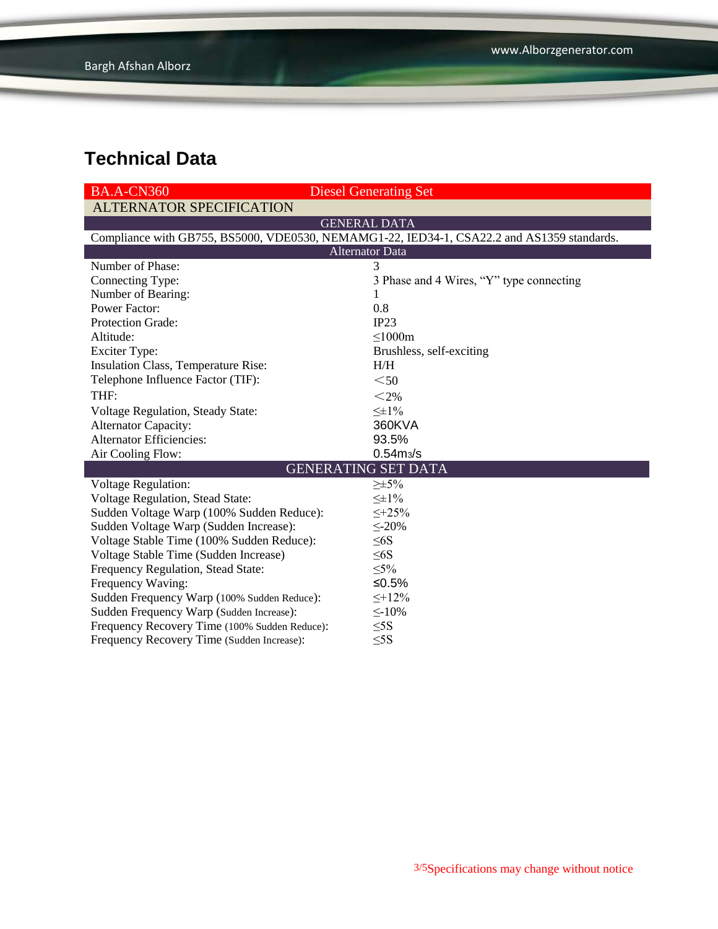| <b>BA.A-CN360</b>                                                                          | <b>Diesel Generating Set</b>             |  |  |  |
|--------------------------------------------------------------------------------------------|------------------------------------------|--|--|--|
| <b>ALTERNATOR SPECIFICATION</b>                                                            |                                          |  |  |  |
|                                                                                            | <b>GENERAL DATA</b>                      |  |  |  |
| Compliance with GB755, BS5000, VDE0530, NEMAMG1-22, IED34-1, CSA22.2 and AS1359 standards. |                                          |  |  |  |
|                                                                                            | <b>Alternator Data</b>                   |  |  |  |
| Number of Phase:                                                                           | 3                                        |  |  |  |
| Connecting Type:                                                                           | 3 Phase and 4 Wires, "Y" type connecting |  |  |  |
| Number of Bearing:                                                                         | 1                                        |  |  |  |
| <b>Power Factor:</b>                                                                       | 0.8                                      |  |  |  |
| <b>Protection Grade:</b>                                                                   | IP23                                     |  |  |  |
| Altitude:                                                                                  | $\leq$ 1000m                             |  |  |  |
| <b>Exciter Type:</b>                                                                       | Brushless, self-exciting                 |  |  |  |
| Insulation Class, Temperature Rise:                                                        | H/H                                      |  |  |  |
| Telephone Influence Factor (TIF):                                                          | $50$                                     |  |  |  |
| THF:                                                                                       | $<$ 2%                                   |  |  |  |
| <b>Voltage Regulation, Steady State:</b>                                                   | $\leq \pm 1\%$                           |  |  |  |
| <b>Alternator Capacity:</b>                                                                | 360KVA                                   |  |  |  |
| <b>Alternator Efficiencies:</b>                                                            | 93.5%                                    |  |  |  |
| Air Cooling Flow:                                                                          | 0.54 <sub>ms/s</sub>                     |  |  |  |
| <b>GENERATING SET DATA</b>                                                                 |                                          |  |  |  |
| <b>Voltage Regulation:</b>                                                                 | $\geq \pm 5\%$                           |  |  |  |
| Voltage Regulation, Stead State:                                                           | $\leq \pm 1\%$                           |  |  |  |
| Sudden Voltage Warp (100% Sudden Reduce):                                                  | $\leq +25\%$                             |  |  |  |
| Sudden Voltage Warp (Sudden Increase):                                                     | $\leq$ -20%                              |  |  |  |
| Voltage Stable Time (100% Sudden Reduce):                                                  | $\leq 6S$                                |  |  |  |
| Voltage Stable Time (Sudden Increase)                                                      | $\leq 6S$                                |  |  |  |
| Frequency Regulation, Stead State:                                                         | $\leq 5\%$                               |  |  |  |
| Frequency Waving:                                                                          | ≤0.5%                                    |  |  |  |
| Sudden Frequency Warp (100% Sudden Reduce):                                                | $\leq$ +12%                              |  |  |  |
| Sudden Frequency Warp (Sudden Increase):                                                   | $\leq$ -10%                              |  |  |  |
| Frequency Recovery Time (100% Sudden Reduce):                                              | $\leq$ 5S                                |  |  |  |
| Frequency Recovery Time (Sudden Increase):                                                 | $\leq$ 5S                                |  |  |  |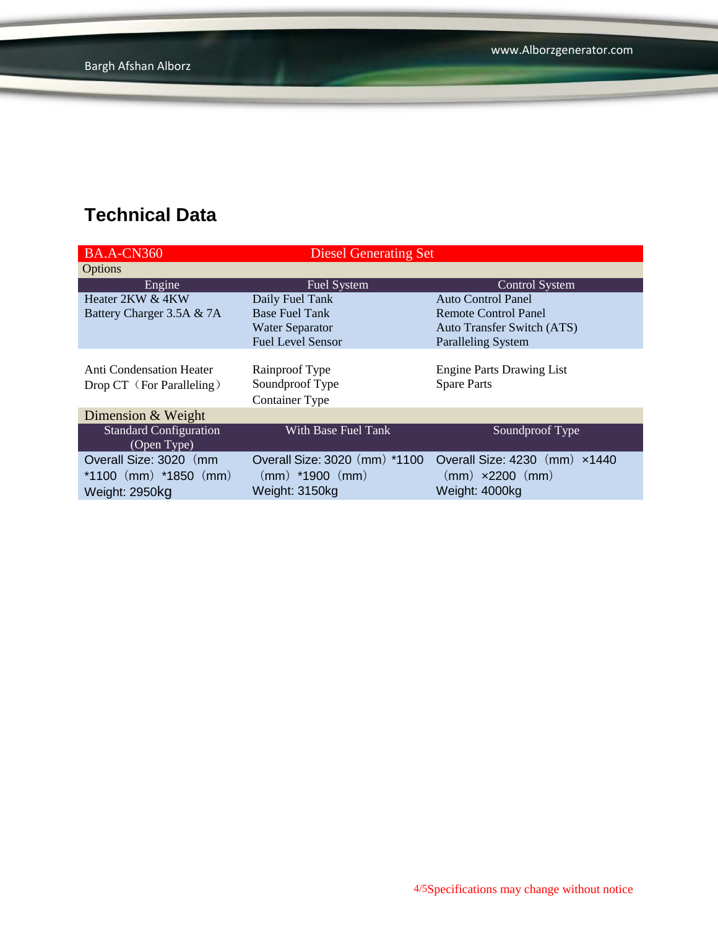| <b>BA.A-CN360</b>               | <b>Diesel Generating Set</b>  |                                   |  |  |
|---------------------------------|-------------------------------|-----------------------------------|--|--|
| Options                         |                               |                                   |  |  |
| Engine                          | Fuel System                   | <b>Control System</b>             |  |  |
| Heater 2KW & 4KW                | Daily Fuel Tank               | <b>Auto Control Panel</b>         |  |  |
| Battery Charger 3.5A & 7A       | <b>Base Fuel Tank</b>         | <b>Remote Control Panel</b>       |  |  |
|                                 | <b>Water Separator</b>        | <b>Auto Transfer Switch (ATS)</b> |  |  |
|                                 | <b>Fuel Level Sensor</b>      | <b>Paralleling System</b>         |  |  |
|                                 |                               |                                   |  |  |
| <b>Anti Condensation Heater</b> | Rainproof Type                | <b>Engine Parts Drawing List</b>  |  |  |
| Drop CT (For Paralleling)       | Soundproof Type               | <b>Spare Parts</b>                |  |  |
|                                 | <b>Container Type</b>         |                                   |  |  |
| Dimension & Weight              |                               |                                   |  |  |
| <b>Standard Configuration</b>   | With Base Fuel Tank           | Soundproof Type                   |  |  |
| (Open Type)                     |                               |                                   |  |  |
| Overall Size: 3020 (mm          | Overall Size: 3020 (mm) *1100 | Overall Size: 4230 (mm) x1440     |  |  |
| *1100 $(mm)$ *1850 $(mm)$       | $(mm)$ *1900 $(mm)$           | $(mm) \times 2200$ $(mm)$         |  |  |
| Weight: 2950kg                  | Weight: 3150kg                | Weight: 4000kg                    |  |  |